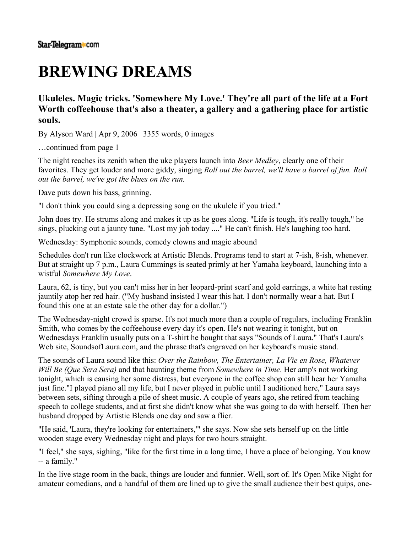## **BREWING DREAMS**

**Ukuleles. Magic tricks. 'Somewhere My Love.' They're all part of the life at a Fort Worth coffeehouse that's also a theater, a gallery and a gathering place for artistic souls.**

By Alyson Ward | Apr 9, 2006 | 3355 words, 0 images

…continued from page 1

The night reaches its zenith when the uke players launch into *Beer Medley*, clearly one of their favorites. They get louder and more giddy, singing *Roll out the barrel, we'll have a barrel of fun. Roll out the barrel, we've got the blues on the run.*

Dave puts down his bass, grinning.

"I don't think you could sing a depressing song on the ukulele if you tried."

John does try. He strums along and makes it up as he goes along. "Life is tough, it's really tough," he sings, plucking out a jaunty tune. "Lost my job today ...." He can't finish. He's laughing too hard.

Wednesday: Symphonic sounds, comedy clowns and magic abound

Schedules don't run like clockwork at Artistic Blends. Programs tend to start at 7-ish, 8-ish, whenever. But at straight up 7 p.m., Laura Cummings is seated primly at her Yamaha keyboard, launching into a wistful *Somewhere My Love*.

Laura, 62, is tiny, but you can't miss her in her leopard-print scarf and gold earrings, a white hat resting jauntily atop her red hair. ("My husband insisted I wear this hat. I don't normally wear a hat. But I found this one at an estate sale the other day for a dollar.")

The Wednesday-night crowd is sparse. It's not much more than a couple of regulars, including Franklin Smith, who comes by the coffeehouse every day it's open. He's not wearing it tonight, but on Wednesdays Franklin usually puts on a T-shirt he bought that says "Sounds of Laura." That's Laura's Web site, SoundsofLaura.com, and the phrase that's engraved on her keyboard's music stand.

The sounds of Laura sound like this: *Over the Rainbow, The Entertainer, La Vie en Rose, Whatever Will Be (Que Sera Sera)* and that haunting theme from *Somewhere in Time*. Her amp's not working tonight, which is causing her some distress, but everyone in the coffee shop can still hear her Yamaha just fine."I played piano all my life, but I never played in public until I auditioned here," Laura says between sets, sifting through a pile of sheet music. A couple of years ago, she retired from teaching speech to college students, and at first she didn't know what she was going to do with herself. Then her husband dropped by Artistic Blends one day and saw a flier.

"He said, 'Laura, they're looking for entertainers,'" she says. Now she sets herself up on the little wooden stage every Wednesday night and plays for two hours straight.

"I feel," she says, sighing, "like for the first time in a long time, I have a place of belonging. You know -- a family."

In the live stage room in the back, things are louder and funnier. Well, sort of. It's Open Mike Night for amateur comedians, and a handful of them are lined up to give the small audience their best quips, one-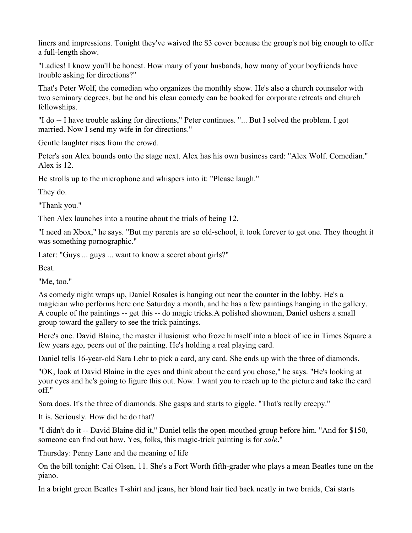liners and impressions. Tonight they've waived the \$3 cover because the group's not big enough to offer a full-length show.

"Ladies! I know you'll be honest. How many of your husbands, how many of your boyfriends have trouble asking for directions?"

That's Peter Wolf, the comedian who organizes the monthly show. He's also a church counselor with two seminary degrees, but he and his clean comedy can be booked for corporate retreats and church fellowships.

"I do -- I have trouble asking for directions," Peter continues. "... But I solved the problem. I got married. Now I send my wife in for directions."

Gentle laughter rises from the crowd.

Peter's son Alex bounds onto the stage next. Alex has his own business card: "Alex Wolf. Comedian." Alex is 12.

He strolls up to the microphone and whispers into it: "Please laugh."

They do.

"Thank you."

Then Alex launches into a routine about the trials of being 12.

"I need an Xbox," he says. "But my parents are so old-school, it took forever to get one. They thought it was something pornographic."

Later: "Guys ... guys ... want to know a secret about girls?"

Beat.

"Me, too."

As comedy night wraps up, Daniel Rosales is hanging out near the counter in the lobby. He's a magician who performs here one Saturday a month, and he has a few paintings hanging in the gallery. A couple of the paintings -- get this -- do magic tricks.A polished showman, Daniel ushers a small group toward the gallery to see the trick paintings.

Here's one. David Blaine, the master illusionist who froze himself into a block of ice in Times Square a few years ago, peers out of the painting. He's holding a real playing card.

Daniel tells 16-year-old Sara Lehr to pick a card, any card. She ends up with the three of diamonds.

"OK, look at David Blaine in the eyes and think about the card you chose," he says. "He's looking at your eyes and he's going to figure this out. Now. I want you to reach up to the picture and take the card off."

Sara does. It's the three of diamonds. She gasps and starts to giggle. "That's really creepy."

It is. Seriously. How did he do that?

"I didn't do it -- David Blaine did it," Daniel tells the open-mouthed group before him. "And for \$150, someone can find out how. Yes, folks, this magic-trick painting is for *sale*."

Thursday: Penny Lane and the meaning of life

On the bill tonight: Cai Olsen, 11. She's a Fort Worth fifth-grader who plays a mean Beatles tune on the piano.

In a bright green Beatles T-shirt and jeans, her blond hair tied back neatly in two braids, Cai starts